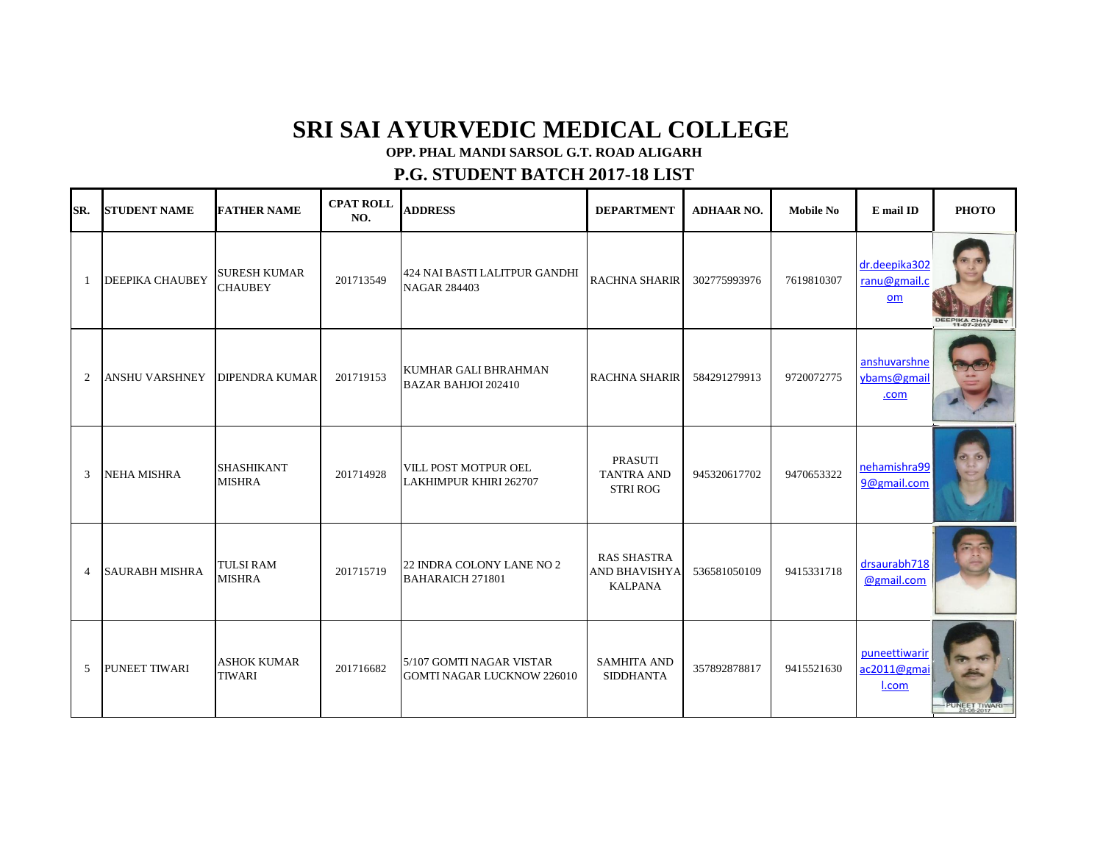## **SRI SAI AYURVEDIC MEDICAL COLLEGE**

**OPP. PHAL MANDI SARSOL G.T. ROAD ALIGARH**

## **P.G. STUDENT BATCH 2017-18 LIST**

| SR.            | <b>STUDENT NAME</b>    | <b>FATHER NAME</b>                    | <b>CPAT ROLL</b><br>NO. | <b>ADDRESS</b>                                                | <b>DEPARTMENT</b>                                            | <b>ADHAAR NO.</b> | <b>Mobile No</b> | E mail ID                             | <b>РНОТО</b>    |
|----------------|------------------------|---------------------------------------|-------------------------|---------------------------------------------------------------|--------------------------------------------------------------|-------------------|------------------|---------------------------------------|-----------------|
| -1             | <b>DEEPIKA CHAUBEY</b> | <b>SURESH KUMAR</b><br><b>CHAUBEY</b> | 201713549               | 424 NAI BASTI LALITPUR GANDHI<br><b>NAGAR 284403</b>          | <b>RACHNA SHARIR</b>                                         | 302775993976      | 7619810307       | dr.deepika302<br>ranu@gmail.c<br>$om$ | DEEPIKA CHAUBEY |
| 2              | ANSHU VARSHNEY         | <b>DIPENDRA KUMAR</b>                 | 201719153               | KUMHAR GALI BHRAHMAN<br><b>BAZAR BAHJOI 202410</b>            | <b>RACHNA SHARIR</b>                                         | 584291279913      | 9720072775       | anshuvarshne<br>ybams@gmail<br>.com   |                 |
| 3              | <b>NEHA MISHRA</b>     | SHASHIKANT<br><b>MISHRA</b>           | 201714928               | VILL POST MOTPUR OEL<br>LAKHIMPUR KHIRI 262707                | <b>PRASUTI</b><br><b>TANTRA AND</b><br><b>STRI ROG</b>       | 945320617702      | 9470653322       | nehamishra99<br>9@gmail.com           |                 |
| $\overline{4}$ | <b>SAURABH MISHRA</b>  | <b>TULSI RAM</b><br><b>MISHRA</b>     | 201715719               | 22 INDRA COLONY LANE NO 2<br><b>BAHARAICH 271801</b>          | <b>RAS SHASTRA</b><br><b>AND BHAVISHYA</b><br><b>KALPANA</b> | 536581050109      | 9415331718       | drsaurabh718<br>@gmail.com            |                 |
| 5              | <b>PUNEET TIWARI</b>   | <b>ASHOK KUMAR</b><br><b>TIWARI</b>   | 201716682               | 5/107 GOMTI NAGAR VISTAR<br><b>GOMTI NAGAR LUCKNOW 226010</b> | <b>SAMHITA AND</b><br><b>SIDDHANTA</b>                       | 357892878817      | 9415521630       | puneettiwarir<br>ac2011@gmai<br>I.com |                 |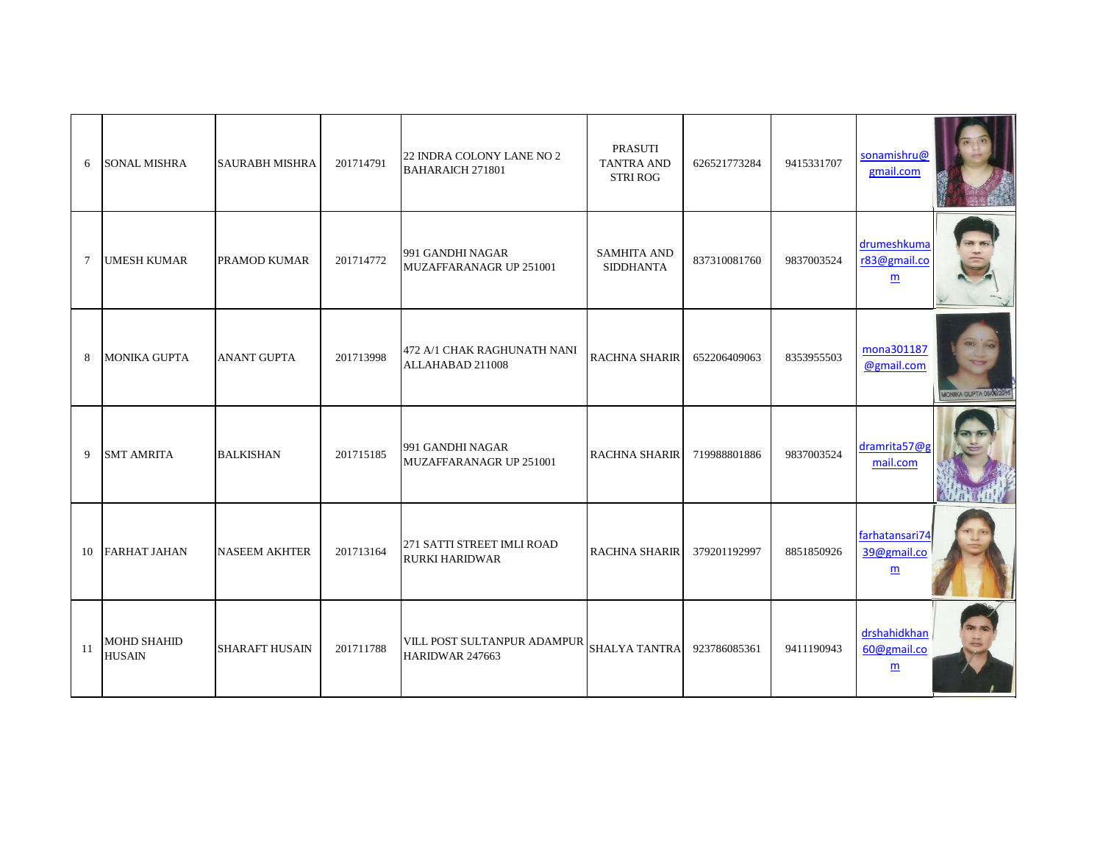| 6  | <b>SONAL MISHRA</b>                 | <b>SAURABH MISHRA</b> | 201714791 | 22 INDRA COLONY LANE NO 2<br><b>BAHARAICH 271801</b> | PRASUTI<br><b>TANTRA AND</b><br><b>STRI ROG</b> | 626521773284 | 9415331707 | sonamishru@<br>gmail.com                         |                         |
|----|-------------------------------------|-----------------------|-----------|------------------------------------------------------|-------------------------------------------------|--------------|------------|--------------------------------------------------|-------------------------|
| 7  | <b>UMESH KUMAR</b>                  | <b>PRAMOD KUMAR</b>   | 201714772 | 991 GANDHI NAGAR<br>MUZAFFARANAGR UP 251001          | <b>SAMHITA AND</b><br><b>SIDDHANTA</b>          | 837310081760 | 9837003524 | drumeshkuma<br>r83@gmail.co<br>m                 |                         |
| 8  | MONIKA GUPTA                        | <b>ANANT GUPTA</b>    | 201713998 | 472 A/1 CHAK RAGHUNATH NANI<br>ALLAHABAD 211008      | RACHNA SHARIR                                   | 652206409063 | 8353955503 | mona301187<br>@gmail.com                         | MONIKA GUPTA 08/06/2016 |
| 9  | <b>SMT AMRITA</b>                   | <b>BALKISHAN</b>      | 201715185 | 991 GANDHI NAGAR<br>MUZAFFARANAGR UP 251001          | <b>RACHNA SHARIR</b>                            | 719988801886 | 9837003524 | dramrita57@g<br>mail.com                         |                         |
| 10 | <b>FARHAT JAHAN</b>                 | <b>NASEEM AKHTER</b>  | 201713164 | 271 SATTI STREET IMLI ROAD<br><b>RURKI HARIDWAR</b>  | <b>RACHNA SHARIR</b>                            | 379201192997 | 8851850926 | farhatansari74<br>39@gmail.co<br>$\underline{m}$ |                         |
| 11 | <b>MOHD SHAHID</b><br><b>HUSAIN</b> | <b>SHARAFT HUSAIN</b> | 201711788 | VILL POST SULTANPUR ADAMPUR<br>HARIDWAR 247663       | <b>SHALYA TANTRA</b>                            | 923786085361 | 9411190943 | drshahidkhan<br>60@gmail.co<br>m                 |                         |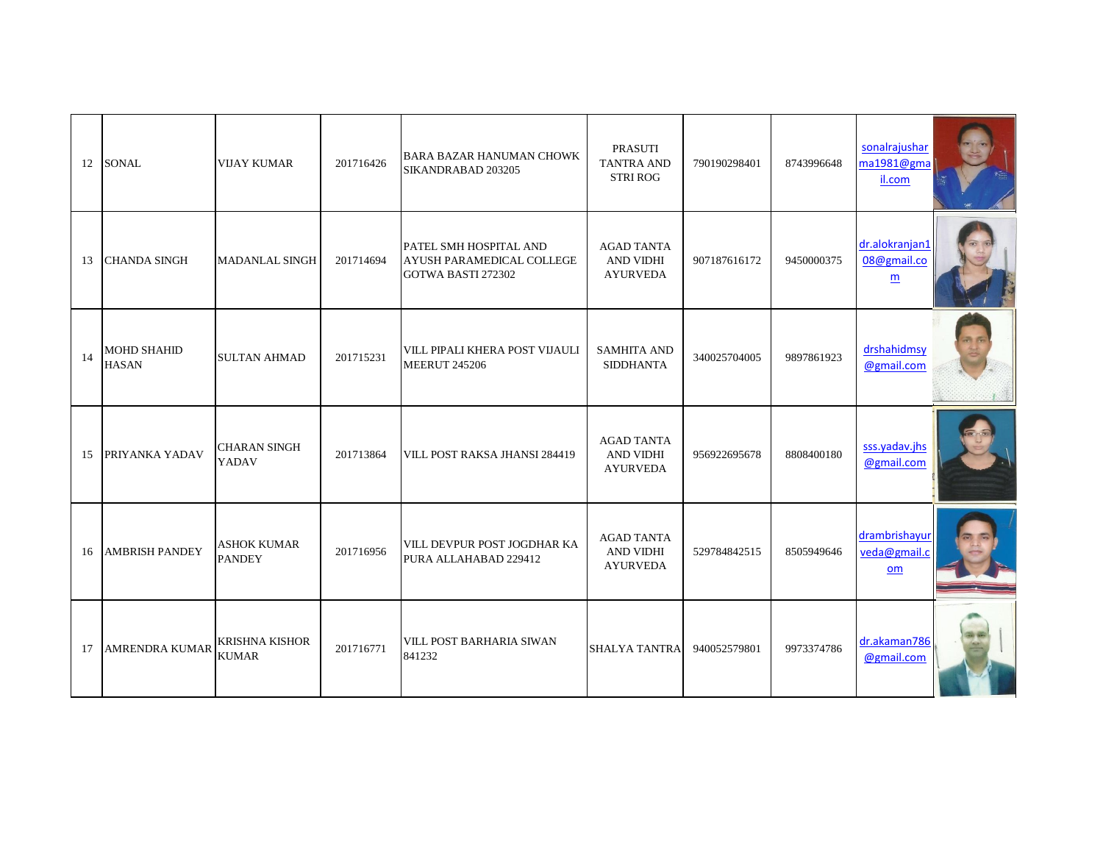| 12 | <b>SONAL</b>                       | <b>VIJAY KUMAR</b>                    | 201716426 | <b>BARA BAZAR HANUMAN CHOWK</b><br>SIKANDRABAD 203205                     | PRASUTI<br><b>TANTRA AND</b><br><b>STRI ROG</b>          | 790190298401 | 8743996648 | sonalrajushar<br>ma1981@gma<br>il.com |  |
|----|------------------------------------|---------------------------------------|-----------|---------------------------------------------------------------------------|----------------------------------------------------------|--------------|------------|---------------------------------------|--|
| 13 | <b>CHANDA SINGH</b>                | <b>MADANLAL SINGH</b>                 | 201714694 | PATEL SMH HOSPITAL AND<br>AYUSH PARAMEDICAL COLLEGE<br>GOTWA BASTI 272302 | <b>AGAD TANTA</b><br><b>AND VIDHI</b><br><b>AYURVEDA</b> | 907187616172 | 9450000375 | dr.alokranjan1<br>08@gmail.co<br>m    |  |
| 14 | <b>MOHD SHAHID</b><br><b>HASAN</b> | <b>SULTAN AHMAD</b>                   | 201715231 | VILL PIPALI KHERA POST VIJAULI<br><b>MEERUT 245206</b>                    | <b>SAMHITA AND</b><br><b>SIDDHANTA</b>                   | 340025704005 | 9897861923 | drshahidmsv<br>@gmail.com             |  |
| 15 | PRIYANKA YADAV                     | <b>CHARAN SINGH</b><br>YADAV          | 201713864 | VILL POST RAKSA JHANSI 284419                                             | <b>AGAD TANTA</b><br>AND VIDHI<br><b>AYURVEDA</b>        | 956922695678 | 8808400180 | sss.yadav.jhs<br>@gmail.com           |  |
| 16 | <b>AMBRISH PANDEY</b>              | <b>ASHOK KUMAR</b><br><b>PANDEY</b>   | 201716956 | VILL DEVPUR POST JOGDHAR KA<br>PURA ALLAHABAD 229412                      | <b>AGAD TANTA</b><br>AND VIDHI<br><b>AYURVEDA</b>        | 529784842515 | 8505949646 | drambrishayur<br>veda@gmail.c<br>om   |  |
| 17 | <b>AMRENDRA KUMAR</b>              | <b>KRISHNA KISHOR</b><br><b>KUMAR</b> | 201716771 | <b>VILL POST BARHARIA SIWAN</b><br>841232                                 | <b>SHALYA TANTRA</b>                                     | 940052579801 | 9973374786 | dr.akaman786<br>@gmail.com            |  |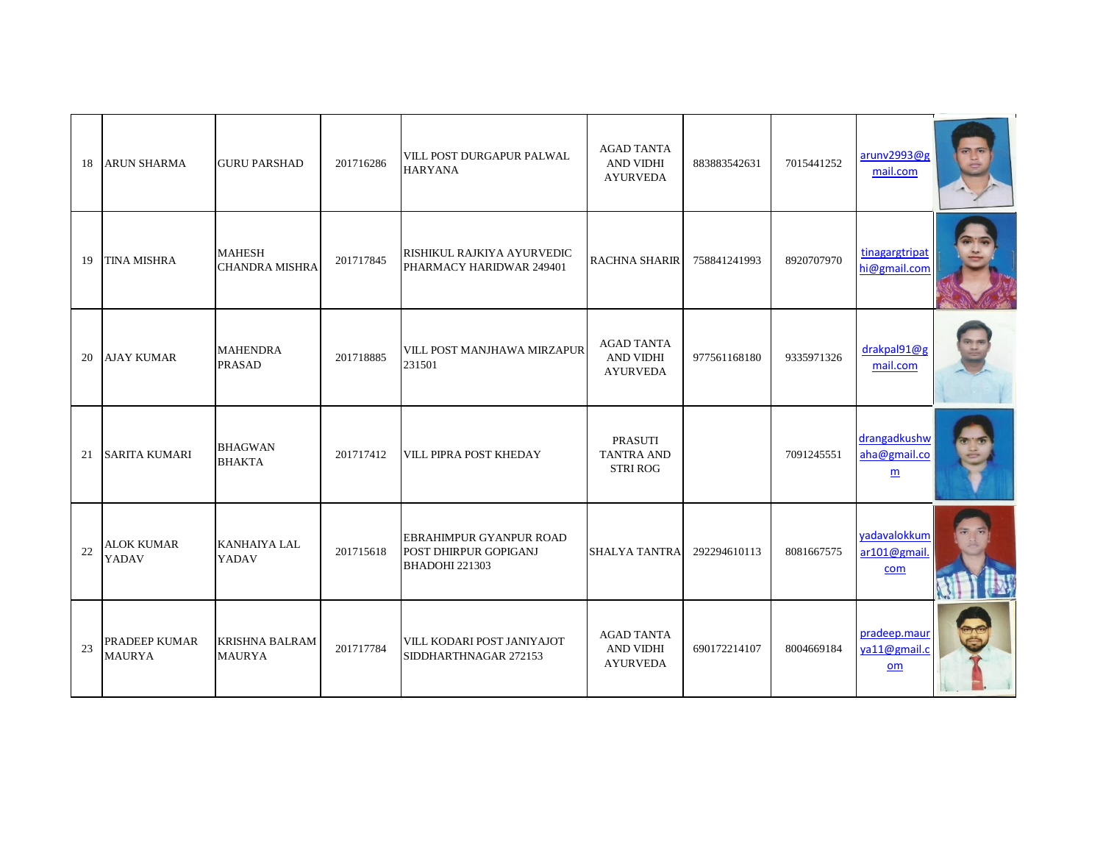| 18 | <b>ARUN SHARMA</b>                    | <b>GURU PARSHAD</b>                    | 201716286 | VILL POST DURGAPUR PALWAL<br><b>HARYANA</b>                                      | <b>AGAD TANTA</b><br><b>AND VIDHI</b><br><b>AYURVEDA</b> | 883883542631 | 7015441252 | aruny2993@g<br>mail.com             |  |
|----|---------------------------------------|----------------------------------------|-----------|----------------------------------------------------------------------------------|----------------------------------------------------------|--------------|------------|-------------------------------------|--|
| 19 | <b>TINA MISHRA</b>                    | <b>MAHESH</b><br><b>CHANDRA MISHRA</b> | 201717845 | RISHIKUL RAJKIYA AYURVEDIC<br>PHARMACY HARIDWAR 249401                           | <b>RACHNA SHARIR</b>                                     | 758841241993 | 8920707970 | tinagargtripat<br>hi@gmail.com      |  |
| 20 | AJAY KUMAR                            | <b>MAHENDRA</b><br><b>PRASAD</b>       | 201718885 | VILL POST MANJHAWA MIRZAPUR<br>231501                                            | <b>AGAD TANTA</b><br>AND VIDHI<br><b>AYURVEDA</b>        | 977561168180 | 9335971326 | drakpal91@g<br>mail.com             |  |
| 21 | <b>SARITA KUMARI</b>                  | <b>BHAGWAN</b><br><b>BHAKTA</b>        | 201717412 | VILL PIPRA POST KHEDAY                                                           | <b>PRASUTI</b><br><b>TANTRA AND</b><br><b>STRI ROG</b>   |              | 7091245551 | drangadkushw<br>aha@gmail.co<br>m   |  |
| 22 | <b>ALOK KUMAR</b><br>YADAV            | <b>KANHAIYA LAL</b><br>YADAV           | 201715618 | <b>EBRAHIMPUR GYANPUR ROAD</b><br>POST DHIRPUR GOPIGANJ<br><b>BHADOHI 221303</b> | <b>SHALYA TANTRA</b>                                     | 292294610113 | 8081667575 | yadavalokkum<br>ar101@gmail.<br>com |  |
| 23 | <b>PRADEEP KUMAR</b><br><b>MAURYA</b> | <b>KRISHNA BALRAM</b><br><b>MAURYA</b> | 201717784 | VILL KODARI POST JANIYAJOT<br>SIDDHARTHNAGAR 272153                              | <b>AGAD TANTA</b><br><b>AND VIDHI</b><br><b>AYURVEDA</b> | 690172214107 | 8004669184 | pradeep.maur<br>ya11@gmail.c<br>om  |  |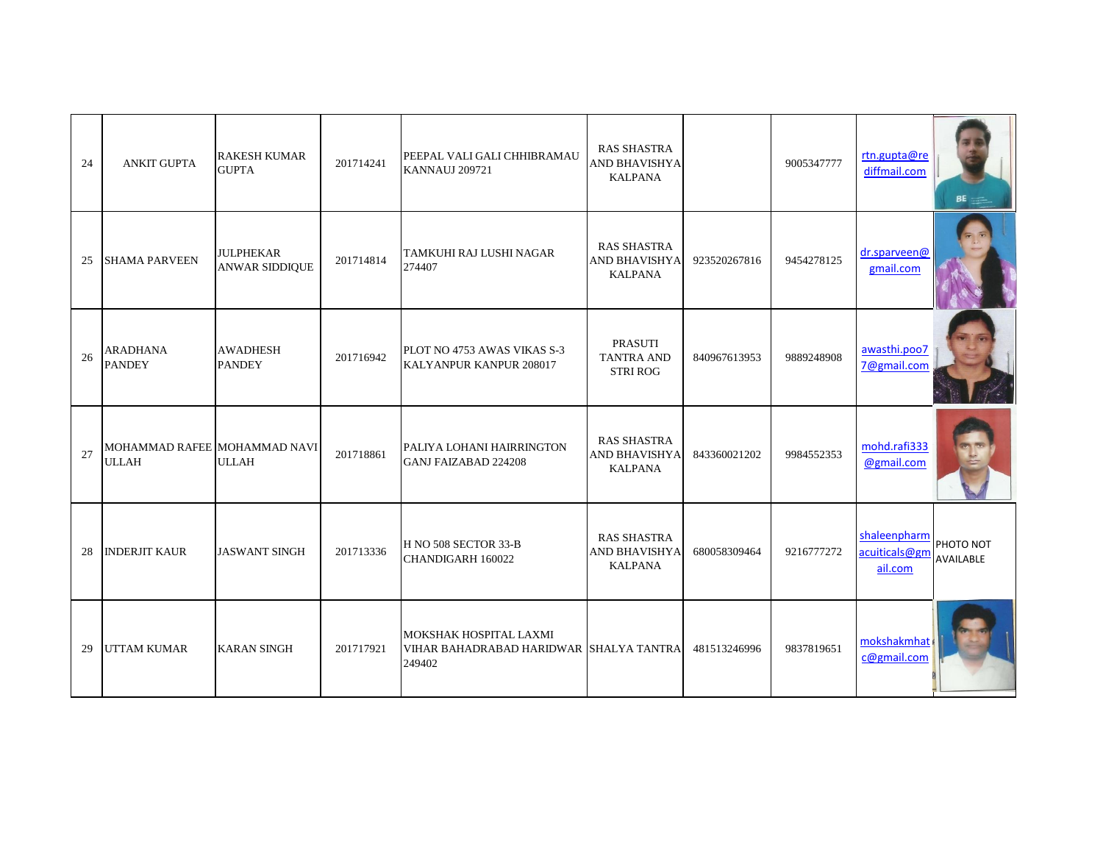| 24 | <b>ANKIT GUPTA</b>                           | <b>RAKESH KUMAR</b><br><b>GUPTA</b>       | 201714241 | PEEPAL VALI GALI CHHIBRAMAU<br><b>KANNAUJ 209721</b>                               | <b>RAS SHASTRA</b><br>AND BHAVISHYA<br><b>KALPANA</b>        |              | 9005347777 | rtn.gupta@re<br>diffmail.com             | BE                     |
|----|----------------------------------------------|-------------------------------------------|-----------|------------------------------------------------------------------------------------|--------------------------------------------------------------|--------------|------------|------------------------------------------|------------------------|
| 25 | <b>SHAMA PARVEEN</b>                         | <b>JULPHEKAR</b><br><b>ANWAR SIDDIQUE</b> | 201714814 | TAMKUHI RAJ LUSHI NAGAR<br>274407                                                  | <b>RAS SHASTRA</b><br>AND BHAVISHYA<br><b>KALPANA</b>        | 923520267816 | 9454278125 | dr.sparveen@<br>gmail.com                |                        |
| 26 | <b>ARADHANA</b><br><b>PANDEY</b>             | <b>AWADHESH</b><br><b>PANDEY</b>          | 201716942 | PLOT NO 4753 AWAS VIKAS S-3<br>KALYANPUR KANPUR 208017                             | <b>PRASUTI</b><br><b>TANTRA AND</b><br><b>STRI ROG</b>       | 840967613953 | 9889248908 | awasthi.poo7<br>7@gmail.com              |                        |
| 27 | MOHAMMAD RAFEE MOHAMMAD NAVI<br><b>ULLAH</b> | <b>ULLAH</b>                              | 201718861 | PALIYA LOHANI HAIRRINGTON<br><b>GANJ FAIZABAD 224208</b>                           | <b>RAS SHASTRA</b><br><b>AND BHAVISHYA</b><br><b>KALPANA</b> | 843360021202 | 9984552353 | mohd.rafi333<br>@gmail.com               |                        |
| 28 | <b>INDERJIT KAUR</b>                         | <b>JASWANT SINGH</b>                      | 201713336 | H NO 508 SECTOR 33-B<br>CHANDIGARH 160022                                          | <b>RAS SHASTRA</b><br><b>AND BHAVISHYA</b><br><b>KALPANA</b> | 680058309464 | 9216777272 | shaleenpharm<br>acuiticals@gm<br>ail.com | PHOTO NOT<br>AVAILABLE |
| 29 | <b>UTTAM KUMAR</b>                           | <b>KARAN SINGH</b>                        | 201717921 | <b>MOKSHAK HOSPITAL LAXMI</b><br>VIHAR BAHADRABAD HARIDWAR SHALYA TANTRA<br>249402 |                                                              | 481513246996 | 9837819651 | mokshakmhat<br>c@gmail.com               |                        |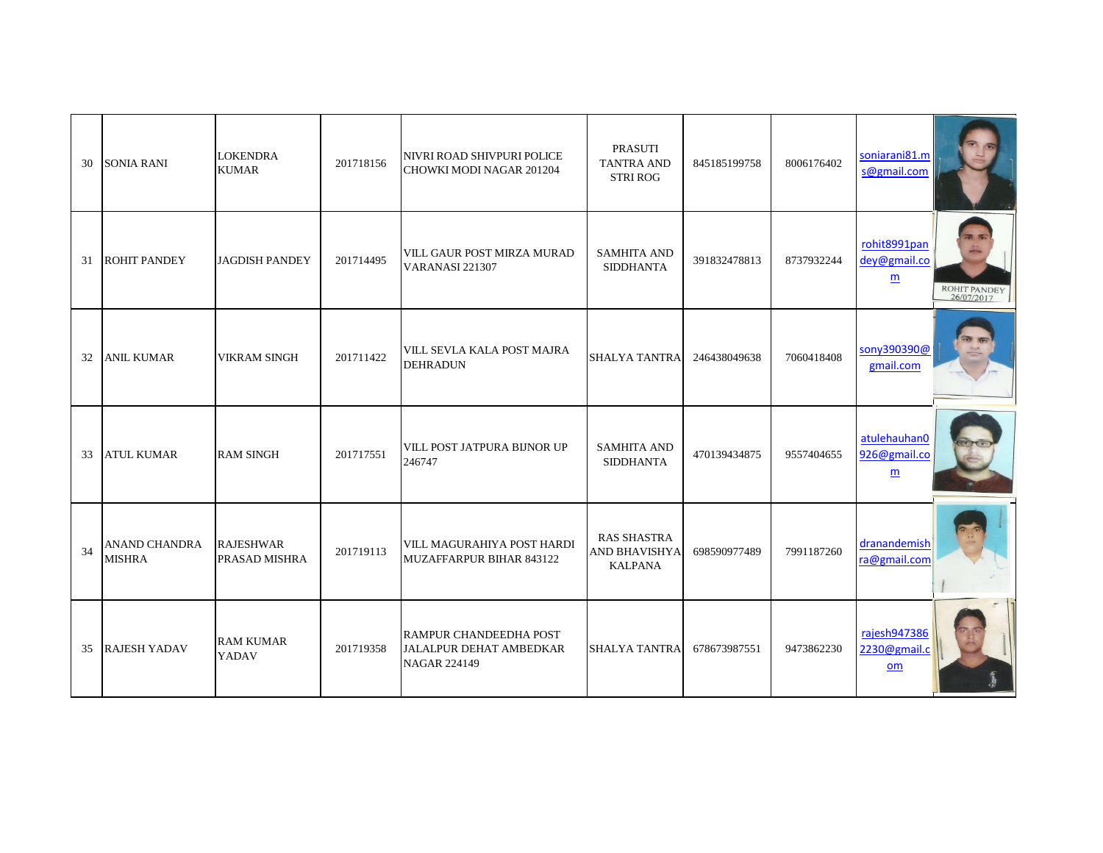| 30 | SONIA RANI                            | <b>LOKENDRA</b><br><b>KUMAR</b>   | 201718156 | NIVRI ROAD SHIVPURI POLICE<br>CHOWKI MODI NAGAR 201204                          | PRASUTI<br><b>TANTRA AND</b><br><b>STRI ROG</b>              | 845185199758 | 8006176402 | soniarani81.m<br>s@gmail.com                    |                            |
|----|---------------------------------------|-----------------------------------|-----------|---------------------------------------------------------------------------------|--------------------------------------------------------------|--------------|------------|-------------------------------------------------|----------------------------|
| 31 | <b>ROHIT PANDEY</b>                   | <b>JAGDISH PANDEY</b>             | 201714495 | VILL GAUR POST MIRZA MURAD<br>VARANASI 221307                                   | <b>SAMHITA AND</b><br><b>SIDDHANTA</b>                       | 391832478813 | 8737932244 | rohit8991pan<br>dey@gmail.co<br>$\underline{m}$ | ROHIT PANDEY<br>26/07/2017 |
| 32 | <b>ANIL KUMAR</b>                     | <b>VIKRAM SINGH</b>               | 201711422 | VILL SEVLA KALA POST MAJRA<br><b>DEHRADUN</b>                                   | <b>SHALYA TANTRA</b>                                         | 246438049638 | 7060418408 | sony390390@<br>gmail.com                        |                            |
| 33 | <b>ATUL KUMAR</b>                     | <b>RAM SINGH</b>                  | 201717551 | VILL POST JATPURA BIJNOR UP<br>246747                                           | <b>SAMHITA AND</b><br><b>SIDDHANTA</b>                       | 470139434875 | 9557404655 | atulehauhan0<br>926@gmail.co<br>m               |                            |
| 34 | <b>ANAND CHANDRA</b><br><b>MISHRA</b> | <b>RAJESHWAR</b><br>PRASAD MISHRA | 201719113 | VILL MAGURAHIYA POST HARDI<br>MUZAFFARPUR BIHAR 843122                          | <b>RAS SHASTRA</b><br><b>AND BHAVISHYA</b><br><b>KALPANA</b> | 698590977489 | 7991187260 | dranandemish<br>ra@gmail.com                    |                            |
| 35 | <b>RAJESH YADAV</b>                   | <b>RAM KUMAR</b><br>YADAV         | 201719358 | RAMPUR CHANDEEDHA POST<br><b>JALALPUR DEHAT AMBEDKAR</b><br><b>NAGAR 224149</b> | <b>SHALYA TANTRA</b>                                         | 678673987551 | 9473862230 | rajesh947386<br>2230@gmail.c<br>$om$            |                            |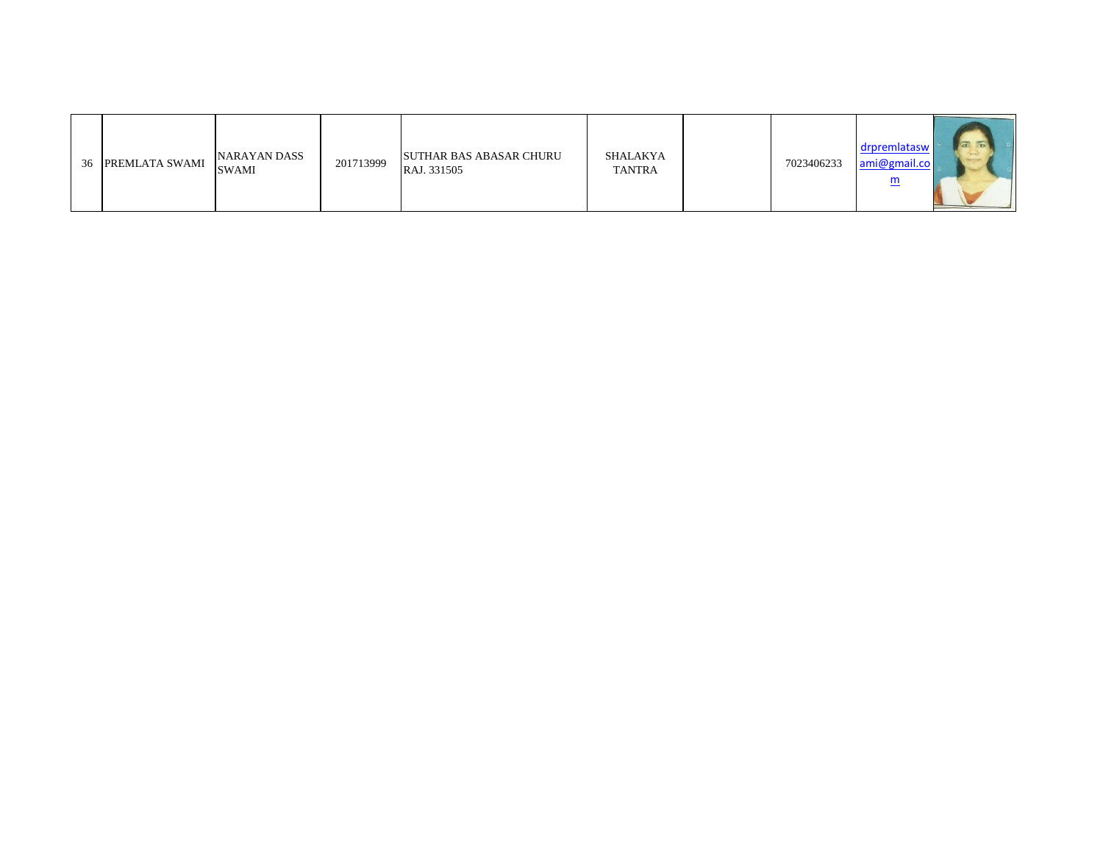| 36 PREMLATA SWAMI | NARAYAN DASS<br><b>SWAMI</b> | 201713999 | <b>SUTHAR BAS ABASAR CHURU</b><br>RAJ. 331505 | SHALAKYA<br><b>TANTRA</b> | 7023406233 | $\sim$<br>drpremlatasw<br><b>Carried Construction</b><br>ami@gmail.co<br>$\underline{\mathbf{m}}$ |
|-------------------|------------------------------|-----------|-----------------------------------------------|---------------------------|------------|---------------------------------------------------------------------------------------------------|
|                   |                              |           |                                               |                           |            |                                                                                                   |